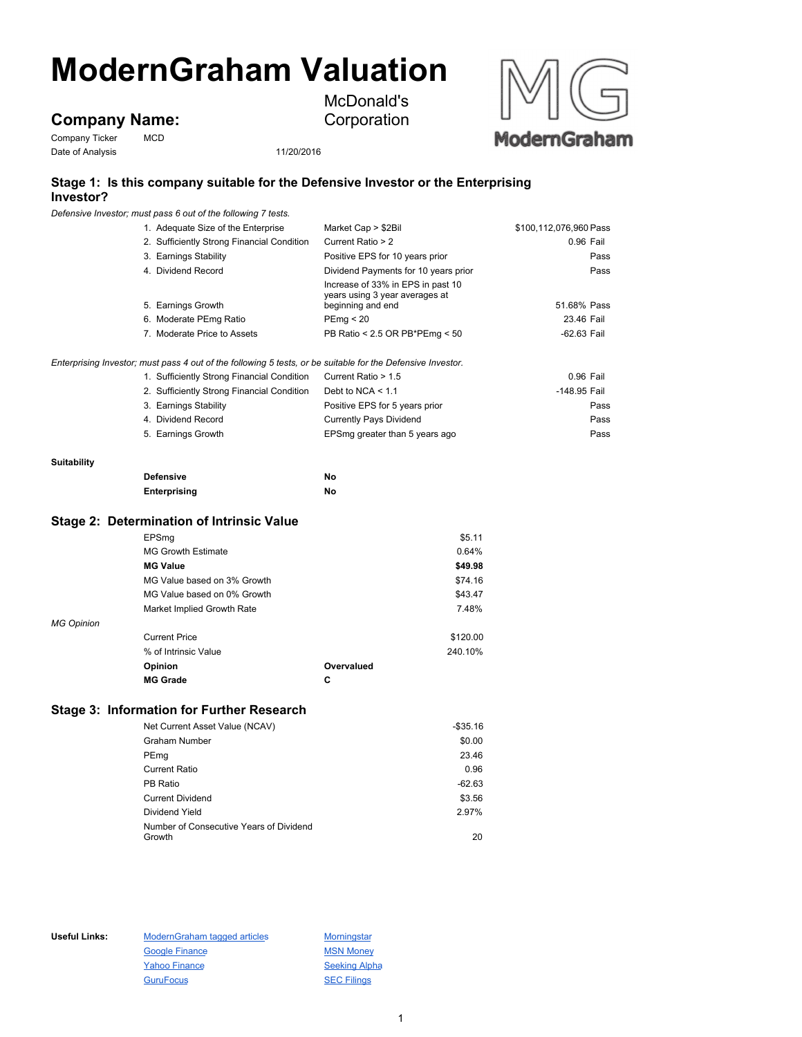# **ModernGraham Valuation**

## **Company Name:**<br>Company Ticker MCD

Company Ticker Date of Analysis 11/20/2016

McDonald's Corporation



### **Stage 1: Is this company suitable for the Defensive Investor or the Enterprising Investor?**

*Defensive Investor; must pass 6 out of the following 7 tests.*

|                    | $\frac{1}{2}$ . $\frac{1}{2}$ . $\frac{1}{2}$ . $\frac{1}{2}$ . $\frac{1}{2}$ . $\frac{1}{2}$ . $\frac{1}{2}$ . $\frac{1}{2}$ . $\frac{1}{2}$ . $\frac{1}{2}$ |                                                     |                        |
|--------------------|---------------------------------------------------------------------------------------------------------------------------------------------------------------|-----------------------------------------------------|------------------------|
|                    | 1. Adequate Size of the Enterprise                                                                                                                            | Market Cap > \$2Bil                                 | \$100,112,076,960 Pass |
|                    | 2. Sufficiently Strong Financial Condition                                                                                                                    | Current Ratio > 2                                   | 0.96 Fail              |
|                    | 3. Earnings Stability                                                                                                                                         | Positive EPS for 10 years prior                     | Pass                   |
|                    | 4. Dividend Record                                                                                                                                            | Dividend Payments for 10 years prior                | Pass                   |
|                    |                                                                                                                                                               | Increase of 33% in EPS in past 10                   |                        |
|                    | 5. Earnings Growth                                                                                                                                            | years using 3 year averages at<br>beginning and end | 51.68% Pass            |
|                    | 6. Moderate PEmg Ratio                                                                                                                                        | PEmp < 20                                           | 23.46 Fail             |
|                    | 7. Moderate Price to Assets                                                                                                                                   | PB Ratio < 2.5 OR PB*PEmg < 50                      | $-62.63$ Fail          |
|                    | Enterprising Investor; must pass 4 out of the following 5 tests, or be suitable for the Defensive Investor.                                                   |                                                     |                        |
|                    | 1. Sufficiently Strong Financial Condition                                                                                                                    | Current Ratio > 1.5                                 | 0.96 Fail              |
|                    | 2. Sufficiently Strong Financial Condition                                                                                                                    | Debt to $NCA < 1.1$                                 | -148.95 Fail           |
|                    | 3. Earnings Stability                                                                                                                                         | Positive EPS for 5 years prior                      | Pass                   |
|                    | 4. Dividend Record                                                                                                                                            | <b>Currently Pays Dividend</b>                      | Pass                   |
|                    | 5. Earnings Growth                                                                                                                                            | EPSmg greater than 5 years ago                      | Pass                   |
| <b>Suitability</b> |                                                                                                                                                               |                                                     |                        |
|                    | <b>Defensive</b>                                                                                                                                              | No                                                  |                        |
|                    | <b>Enterprising</b>                                                                                                                                           | No                                                  |                        |
|                    | <b>Stage 2: Determination of Intrinsic Value</b>                                                                                                              |                                                     |                        |
|                    | EPSmg                                                                                                                                                         | \$5.11                                              |                        |
|                    | <b>MG Growth Estimate</b>                                                                                                                                     | 0.64%                                               |                        |
|                    | <b>MG Value</b>                                                                                                                                               | \$49.98                                             |                        |
|                    | MG Value based on 3% Growth                                                                                                                                   | \$74.16                                             |                        |
|                    | MG Value based on 0% Growth                                                                                                                                   | \$43.47                                             |                        |
|                    | Market Implied Growth Rate                                                                                                                                    | 7.48%                                               |                        |
| <b>MG Opinion</b>  |                                                                                                                                                               |                                                     |                        |
|                    | <b>Current Price</b>                                                                                                                                          | \$120.00                                            |                        |
|                    | % of Intrinsic Value                                                                                                                                          | 240.10%                                             |                        |
|                    | Opinion                                                                                                                                                       | Overvalued                                          |                        |
|                    | <b>MG Grade</b>                                                                                                                                               | c                                                   |                        |
|                    | <b>Stage 3: Information for Further Research</b>                                                                                                              |                                                     |                        |
|                    | Net Current Asset Value (NCAV)                                                                                                                                | $-$ \$35.16                                         |                        |
|                    | <b>Graham Number</b>                                                                                                                                          | \$0.00                                              |                        |
|                    | PEmg                                                                                                                                                          | 23.46                                               |                        |
|                    | <b>Current Ratio</b>                                                                                                                                          | 0.96                                                |                        |
|                    | <b>PB Ratio</b>                                                                                                                                               | $-62.63$                                            |                        |
|                    | <b>Current Dividend</b>                                                                                                                                       | \$3.56                                              |                        |
|                    | Dividend Yield                                                                                                                                                | 2.97%                                               |                        |
|                    | Number of Consecutive Years of Dividend<br>Growth                                                                                                             | 20                                                  |                        |
|                    |                                                                                                                                                               |                                                     |                        |

Useful Links: ModernGraham tagged articles Morningstar Google Finance MSN Money Yahoo Finance Seeking Alpha GuruFocus SEC Filings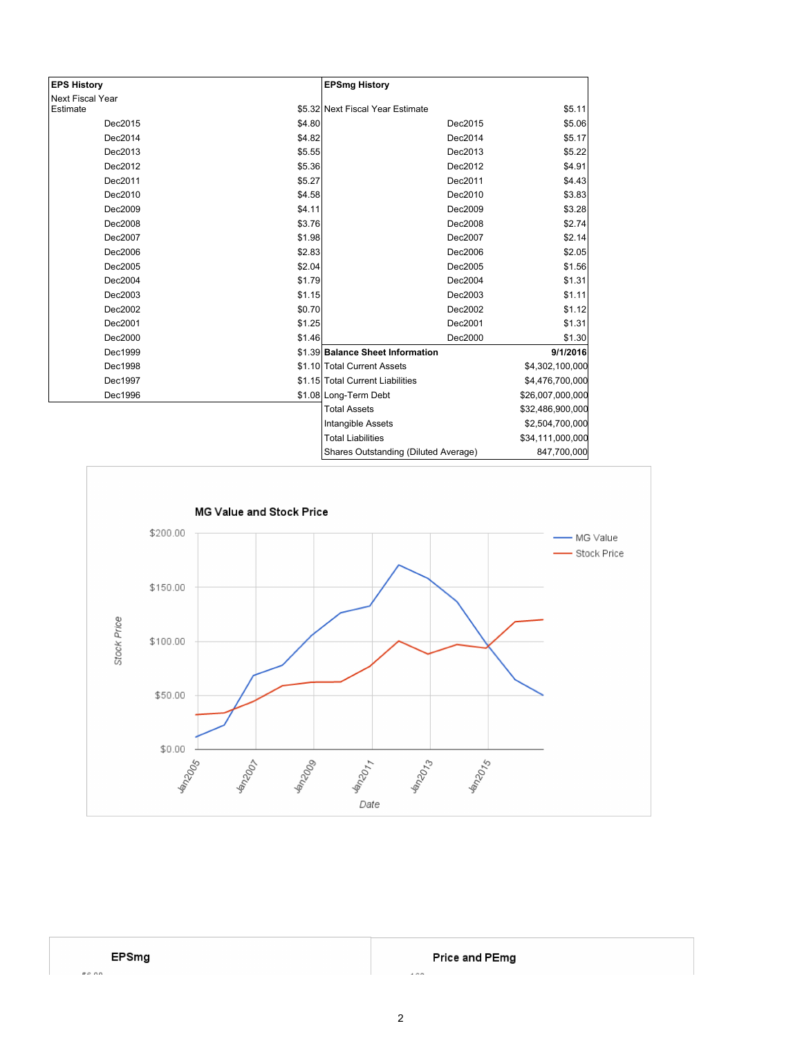| <b>EPS History</b>      |        | <b>EPSmg History</b>                 |                  |
|-------------------------|--------|--------------------------------------|------------------|
| <b>Next Fiscal Year</b> |        |                                      |                  |
| Estimate                |        | \$5.32 Next Fiscal Year Estimate     | \$5.11           |
| Dec2015                 | \$4.80 | Dec2015                              | \$5.06           |
| Dec2014                 | \$4.82 | Dec2014                              | \$5.17           |
| Dec2013                 | \$5.55 | Dec2013                              | \$5.22           |
| Dec2012                 | \$5.36 | Dec2012                              | \$4.91           |
| Dec2011                 | \$5.27 | Dec2011                              | \$4.43           |
| Dec2010                 | \$4.58 | Dec2010                              | \$3.83           |
| Dec2009                 | \$4.11 | Dec2009                              | \$3.28           |
| Dec2008                 | \$3.76 | Dec2008                              | \$2.74           |
| Dec2007                 | \$1.98 | Dec2007                              | \$2.14           |
| Dec2006                 | \$2.83 | Dec2006                              | \$2.05           |
| Dec2005                 | \$2.04 | Dec2005                              | \$1.56           |
| Dec2004                 | \$1.79 | Dec2004                              | \$1.31           |
| Dec2003                 | \$1.15 | Dec2003                              | \$1.11           |
| Dec2002                 | \$0.70 | Dec2002                              | \$1.12           |
| Dec2001                 | \$1.25 | Dec2001                              | \$1.31           |
| Dec2000                 | \$1.46 | Dec2000                              | \$1.30           |
| Dec1999                 |        | \$1.39 Balance Sheet Information     | 9/1/2016         |
| Dec1998                 |        | \$1.10 Total Current Assets          | \$4,302,100,000  |
| Dec1997                 |        | \$1.15 Total Current Liabilities     | \$4,476,700,000  |
| Dec1996                 |        | \$1.08 Long-Term Debt                | \$26,007,000,000 |
|                         |        | <b>Total Assets</b>                  | \$32,486,900,000 |
|                         |        | Intangible Assets                    | \$2,504,700,000  |
|                         |        | <b>Total Liabilities</b>             | \$34,111,000,000 |
|                         |        | Shares Outstanding (Diluted Average) | 847,700,000      |



Price and PEmg

 $\sim$